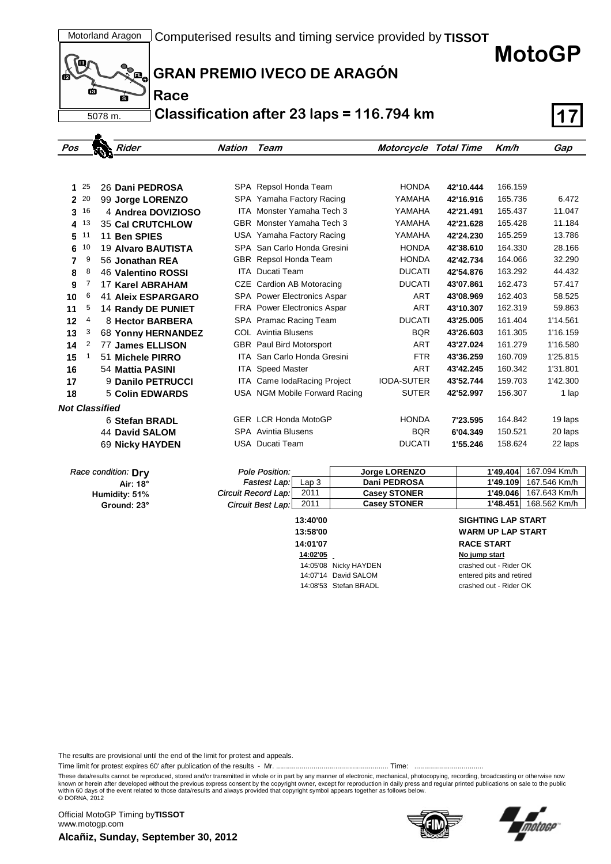**MotoGP**



.

**Race**

## **GRAN PREMIO IVECO DE ARAGÓN**

**Classification after 23 laps = 116.794 km 17**

| Pos                   |    | Rider                     | Nation     | Team                               | Motorcycle Total Time |           | Km/h    | Gap      |
|-----------------------|----|---------------------------|------------|------------------------------------|-----------------------|-----------|---------|----------|
|                       |    |                           |            |                                    |                       |           |         |          |
|                       |    |                           |            |                                    |                       |           |         |          |
| 1                     | 25 | 26 Dani PEDROSA           |            | SPA Repsol Honda Team              | <b>HONDA</b>          | 42'10.444 | 166.159 |          |
| $\mathbf{2}$          | 20 | 99 Jorge LORENZO          |            | SPA Yamaha Factory Racing          | YAMAHA                | 42'16.916 | 165.736 | 6.472    |
| 3                     | 16 | 4 Andrea DOVIZIOSO        |            | <b>ITA</b> Monster Yamaha Tech 3   | YAMAHA                | 42'21.491 | 165.437 | 11.047   |
| 4                     | 13 | <b>35 Cal CRUTCHLOW</b>   |            | GBR Monster Yamaha Tech 3          | YAMAHA                | 42'21.628 | 165.428 | 11.184   |
| 5                     | 11 | 11 Ben SPIES              |            | USA Yamaha Factory Racing          | YAMAHA                | 42'24.230 | 165.259 | 13.786   |
| 6                     | 10 | 19 Alvaro BAUTISTA        | SPA        | San Carlo Honda Gresini            | <b>HONDA</b>          | 42'38.610 | 164.330 | 28.166   |
| 7                     | 9  | 56 Jonathan REA           | <b>GBR</b> | Repsol Honda Team                  | <b>HONDA</b>          | 42'42.734 | 164.066 | 32.290   |
| 8                     | 8  | 46 Valentino ROSSI        | <b>ITA</b> | Ducati Team                        | <b>DUCATI</b>         | 42'54.876 | 163.292 | 44.432   |
| 9                     | 7  | <b>17 Karel ABRAHAM</b>   | CZE        | Cardion AB Motoracing              | <b>DUCATI</b>         | 43'07.861 | 162.473 | 57.417   |
| 10                    | 6  | <b>41 Aleix ESPARGARO</b> | <b>SPA</b> | <b>Power Electronics Aspar</b>     | <b>ART</b>            | 43'08.969 | 162.403 | 58.525   |
| 11                    | 5  | 14 Randy DE PUNIET        |            | <b>FRA</b> Power Electronics Aspar | <b>ART</b>            | 43'10.307 | 162.319 | 59.863   |
| 12                    | 4  | 8 Hector BARBERA          |            | SPA Pramac Racing Team             | <b>DUCATI</b>         | 43'25.005 | 161.404 | 1'14.561 |
| 13                    | 3  | 68 Yonny HERNANDEZ        |            | <b>COL</b> Avintia Blusens         | <b>BQR</b>            | 43'26.603 | 161.305 | 1'16.159 |
| 14                    | 2  | 77 James ELLISON          |            | GBR Paul Bird Motorsport           | ART                   | 43'27.024 | 161.279 | 1'16.580 |
| 15                    |    | 51 Michele PIRRO          | ITA.       | San Carlo Honda Gresini            | <b>FTR</b>            | 43'36.259 | 160.709 | 1'25.815 |
| 16                    |    | 54 Mattia PASINI          |            | <b>ITA</b> Speed Master            | <b>ART</b>            | 43'42.245 | 160.342 | 1'31.801 |
| 17                    |    | 9 Danilo PETRUCCI         |            | ITA Came IodaRacing Project        | <b>IODA-SUTER</b>     | 43'52.744 | 159.703 | 1'42.300 |
| 18                    |    | 5 Colin EDWARDS           |            | USA NGM Mobile Forward Racing      | <b>SUTER</b>          | 42'52.997 | 156.307 | 1 lap    |
| <b>Not Classified</b> |    |                           |            |                                    |                       |           |         |          |
|                       |    | 6 Stefan BRADL            |            | <b>GER LCR Honda MotoGP</b>        | <b>HONDA</b>          | 7'23.595  | 164.842 | 19 laps  |
|                       |    | <b>44 David SALOM</b>     |            | <b>SPA</b> Avintia Blusens         | <b>BQR</b>            | 6'04.349  | 150.521 | 20 laps  |
|                       |    | 69 Nicky HAYDEN           |            | USA Ducati Team                    | <b>DUCATI</b>         | 1'55.246  | 158.624 | 22 laps  |

| Race condition: Dry |  |
|---------------------|--|
|---------------------|--|

**Air: 18° Ground: 23° Humidity: 51%**

| Pole Position:                          | Jorge LORENZO       | 1'49.404 | 167.094 Km/h |
|-----------------------------------------|---------------------|----------|--------------|
| <b>Fastest Lap:</b><br>Lap <sub>3</sub> | Dani PEDROSA        | 1'49.109 | 167.546 Km/h |
| <b>Circuit Record Lap:</b><br>2011      | <b>Casey STONER</b> | 1'49.046 | 167.643 Km/h |
| 2011<br><b>Circuit Best Lap:</b>        | <b>Casey STONER</b> | 1'48.451 | 168.562 Km/h |

**14:01'07 RACE START 14:02'05 No jump start** 14:05'08 Nicky HAYDEN crashed out - Rider OK 14:07'14 David SALOM entered pits and retired 14:08'53 Stefan BRADL crashed out - Rider OK

## **13:40'00 SIGHTING LAP START 13:58'00 WARM UP LAP START**

The results are provisional until the end of the limit for protest and appeals.

Time limit for protest expires 60' after publication of the results - Mr. ......................................................... Time: ...................................

These data/results cannot be reproduced, stored and/or transmitted in whole or in part by any manner of electronic, mechanical, photocopying, recording, broadcasting or otherwise now<br>known or herein after developed without within 60 days of the event related to those data/results and always provided that copyright symbol appears together as follows below. © DORNA, 2012

**Alcañiz, Sunday, September 30, 2012** Official MotoGP Timing by **TISSOT**www.motogp.com



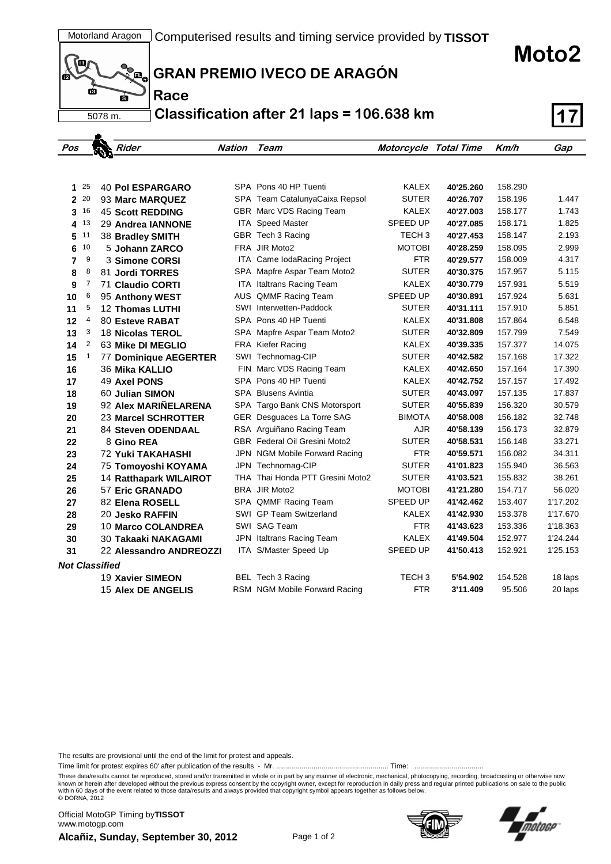**Moto2**



**Race**

**GRAN PREMIO IVECO DE ARAGÓN**

**Classification after 21 laps = 106.638 km 17**

| Pos                   |              | Rider                    | <b>Nation</b> | Team                                 | <b>Motorcycle Total Time</b> |           | Km/h    | Gap      |
|-----------------------|--------------|--------------------------|---------------|--------------------------------------|------------------------------|-----------|---------|----------|
|                       |              |                          |               |                                      |                              |           |         |          |
|                       |              |                          |               |                                      |                              |           |         |          |
| 125                   |              | <b>40 Pol ESPARGARO</b>  |               | SPA Pons 40 HP Tuenti                | <b>KALEX</b>                 | 40'25.260 | 158.290 |          |
| $\mathbf{2}$          | 20           | 93 Marc MARQUEZ          |               | SPA Team CatalunyaCaixa Repsol       | <b>SUTER</b>                 | 40'26.707 | 158.196 | 1.447    |
| 3                     | 16           | <b>45 Scott REDDING</b>  |               | GBR Marc VDS Racing Team             | <b>KALEX</b>                 | 40'27.003 | 158.177 | 1.743    |
| 4                     | 13           | 29 Andrea IANNONE        |               | ITA Speed Master                     | SPEED UP                     | 40'27.085 | 158.171 | 1.825    |
| 5                     | 11           | 38 Bradley SMITH         |               | GBR Tech 3 Racing                    | TECH <sub>3</sub>            | 40'27.453 | 158.147 | 2.193    |
| 6                     | 10           | 5 Johann ZARCO           |               | FRA JIR Moto2                        | <b>MOTOBI</b>                | 40'28.259 | 158.095 | 2.999    |
| 7                     | 9            | 3 Simone CORSI           |               | ITA Came IodaRacing Project          | <b>FTR</b>                   | 40'29.577 | 158.009 | 4.317    |
| 8                     | 8            | 81 Jordi TORRES          |               | SPA Mapfre Aspar Team Moto2          | <b>SUTER</b>                 | 40'30.375 | 157.957 | 5.115    |
| 9                     | 7            | 71 Claudio CORTI         |               | <b>ITA Italtrans Racing Team</b>     | KALEX                        | 40'30.779 | 157.931 | 5.519    |
| 10                    | 6            | 95 Anthony WEST          |               | AUS QMMF Racing Team                 | <b>SPEED UP</b>              | 40'30.891 | 157.924 | 5.631    |
| 11                    | 5            | <b>12 Thomas LUTHI</b>   |               | <b>SWI</b> Interwetten-Paddock       | <b>SUTER</b>                 | 40'31.111 | 157.910 | 5.851    |
| 12                    | 4            | 80 Esteve RABAT          |               | SPA Pons 40 HP Tuenti                | KALEX                        | 40'31.808 | 157.864 | 6.548    |
| 13                    | 3            | 18 Nicolas TEROL         |               | SPA Mapfre Aspar Team Moto2          | <b>SUTER</b>                 | 40'32.809 | 157.799 | 7.549    |
| 14                    | 2            | 63 Mike DI MEGLIO        |               | FRA Kiefer Racing                    | KALEX                        | 40'39.335 | 157.377 | 14.075   |
| 15                    | $\mathbf{1}$ | 77 Dominique AEGERTER    |               | SWI Technomag-CIP                    | <b>SUTER</b>                 | 40'42.582 | 157.168 | 17.322   |
| 16                    |              | <b>36 Mika KALLIO</b>    |               | FIN Marc VDS Racing Team             | KALEX                        | 40'42.650 | 157.164 | 17.390   |
| 17                    |              | 49 Axel PONS             |               | SPA Pons 40 HP Tuenti                | KALEX                        | 40'42.752 | 157.157 | 17.492   |
| 18                    |              | 60 Julian SIMON          |               | SPA Blusens Avintia                  | <b>SUTER</b>                 | 40'43.097 | 157.135 | 17.837   |
| 19                    |              | 92 Alex MARIÑELARENA     |               | SPA Targo Bank CNS Motorsport        | <b>SUTER</b>                 | 40'55.839 | 156.320 | 30.579   |
| 20                    |              | 23 Marcel SCHROTTER      |               | GER Desguaces La Torre SAG           | <b>BIMOTA</b>                | 40'58.008 | 156.182 | 32.748   |
| 21                    |              | 84 Steven ODENDAAL       |               | RSA Arguiñano Racing Team            | AJR                          | 40'58.139 | 156.173 | 32.879   |
| 22                    |              | 8 Gino REA               |               | <b>GBR</b> Federal Oil Gresini Moto2 | <b>SUTER</b>                 | 40'58.531 | 156.148 | 33.271   |
| 23                    |              | <b>72 Yuki TAKAHASHI</b> |               | JPN NGM Mobile Forward Racing        | <b>FTR</b>                   | 40'59.571 | 156.082 | 34.311   |
| 24                    |              | 75 Tomoyoshi KOYAMA      |               | JPN Technomag-CIP                    | <b>SUTER</b>                 | 41'01.823 | 155.940 | 36.563   |
| 25                    |              | 14 Ratthapark WILAIROT   |               | THA Thai Honda PTT Gresini Moto2     | <b>SUTER</b>                 | 41'03.521 | 155.832 | 38.261   |
| 26                    |              | 57 Eric GRANADO          |               | BRA JIR Moto2                        | <b>MOTOBI</b>                | 41'21.280 | 154.717 | 56.020   |
| 27                    |              | 82 Elena ROSELL          |               | SPA QMMF Racing Team                 | SPEED UP                     | 41'42.462 | 153.407 | 1'17.202 |
| 28                    |              | <b>20 Jesko RAFFIN</b>   |               | <b>SWI GP Team Switzerland</b>       | KALEX                        | 41'42.930 | 153.378 | 1'17.670 |
| 29                    |              | 10 Marco COLANDREA       |               | SWI SAG Team                         | <b>FTR</b>                   | 41'43.623 | 153.336 | 1'18.363 |
| 30                    |              | 30 Takaaki NAKAGAMI      |               | JPN Italtrans Racing Team            | KALEX                        | 41'49.504 | 152.977 | 1'24.244 |
| 31                    |              | 22 Alessandro ANDREOZZI  |               | ITA S/Master Speed Up                | SPEED UP                     | 41'50.413 | 152.921 | 1'25.153 |
| <b>Not Classified</b> |              |                          |               |                                      |                              |           |         |          |
|                       |              | 19 Xavier SIMEON         |               | BEL Tech 3 Racing                    | TECH <sub>3</sub>            | 5'54.902  | 154.528 | 18 laps  |
|                       |              | 15 Alex DE ANGELIS       |               | RSM NGM Mobile Forward Racing        | <b>FTR</b>                   | 3'11.409  | 95.506  | 20 laps  |

The results are provisional until the end of the limit for protest and appeals.

Time limit for protest expires 60' after publication of the results - Mr. ......................................................... Time: ...................................

These data/results cannot be reproduced, stored and/or transmitted in whole or in part by any manner of electronic, mechanical, photocopying, recording, broadcasting or otherwise now<br>known or herein after developed without within 60 days of the event related to those data/results and always provided that copyright symbol appears together as follows below. © DORNA, 2012

**Alcañiz, Sunday, September 30, 2012** Page 1 of 2 Official MotoGP Timing by **TISSOT**www.motogp.com



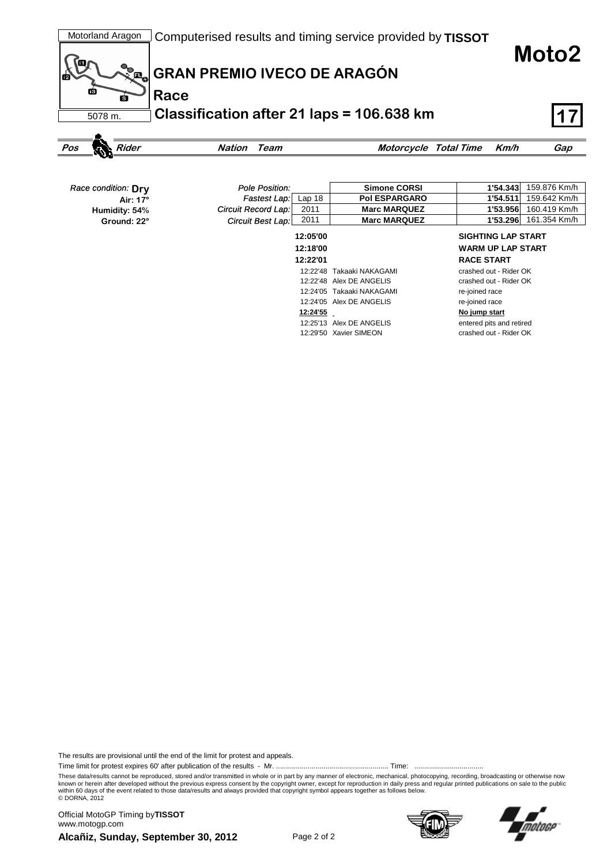

**Moto2**



| Race condition: Drv | Pole Position:      |          | <b>Simone CORSI</b>       | 1'54.343                  | 159.876 Km/h |
|---------------------|---------------------|----------|---------------------------|---------------------------|--------------|
| Air: 17°            | <b>Fastest Lap:</b> | Lap $18$ | <b>Pol ESPARGARO</b>      | 1'54.511                  | 159.642 Km/h |
| Humidity: 54%       | Circuit Record Lap: | 2011     | <b>Marc MARQUEZ</b>       | 1'53.956                  | 160.419 Km/h |
| Ground: 22°         | Circuit Best Lap:   | 2011     | <b>Marc MARQUEZ</b>       | 1'53.296                  | 161.354 Km/h |
|                     |                     | 12:05'00 |                           | <b>SIGHTING LAP START</b> |              |
|                     |                     | 12:18'00 |                           | <b>WARM UP LAP START</b>  |              |
|                     |                     | 12:22'01 |                           | <b>RACE START</b>         |              |
|                     |                     | 12:22'48 | Takaaki NAKAGAMI          | crashed out - Rider OK    |              |
|                     |                     |          | 12:22'48 Alex DE ANGELIS  | crashed out - Rider OK    |              |
|                     |                     |          | 12:24'05 Takaaki NAKAGAMI | re-joined race            |              |
|                     |                     |          | 12:24'05 Alex DE ANGELIS  | re-joined race            |              |
|                     |                     | 12:24'55 |                           | No jump start             |              |
|                     |                     |          | 12:25'13 Alex DE ANGELIS  | entered pits and retired  |              |
|                     |                     |          | 12:29'50 Xavier SIMEON    | crashed out - Rider OK    |              |

The results are provisional until the end of the limit for protest and appeals.

Time limit for protest expires 60' after publication of the results - Mr. ......................................................... Time: ...................................

These data/results cannot be reproduced, stored and/or transmitted in whole or in part by any manner of electronic, mechanical, photocopying, recording, broadcasting or otherwise now<br>known or herein after developed without within 60 days of the event related to those data/results and always provided that copyright symbol appears together as follows below. © DORNA, 2012

**Alcañiz, Sunday, September 30, 2012** Page 2 of 2 Official MotoGP Timing by **TISSOT**www.motogp.com



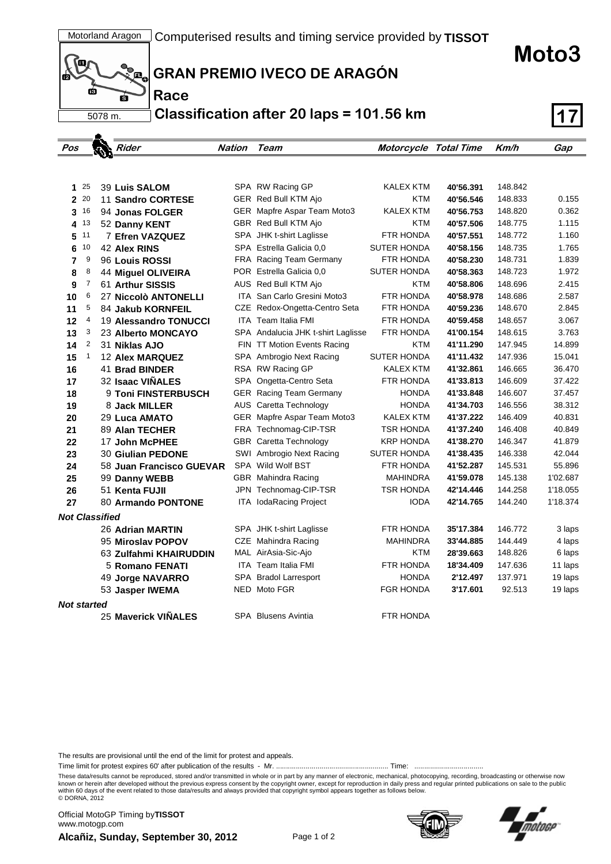



**GRAN PREMIO IVECO DE ARAGÓN**

**Classification after 20 laps = 101.56 km 17**

| Pos                   |              | Rider                    | <b>Nation</b> | Team                               | <b>Motorcycle Total Time</b> |           | Km/h    | Gap      |
|-----------------------|--------------|--------------------------|---------------|------------------------------------|------------------------------|-----------|---------|----------|
|                       |              |                          |               |                                    |                              |           |         |          |
|                       |              |                          |               |                                    |                              |           |         |          |
|                       | $1^{25}$     | <b>39 Luis SALOM</b>     |               | SPA RW Racing GP                   | KALEX KTM                    | 40'56.391 | 148.842 |          |
|                       | 2 20         | 11 Sandro CORTESE        |               | GER Red Bull KTM Ajo               | <b>KTM</b>                   | 40'56.546 | 148.833 | 0.155    |
|                       | 3 16         | 94 Jonas FOLGER          |               | GER Mapfre Aspar Team Moto3        | KALEX KTM                    | 40'56.753 | 148.820 | 0.362    |
| 4                     | 13           | 52 Danny KENT            |               | GBR Red Bull KTM Ajo               | <b>KTM</b>                   | 40'57.506 | 148.775 | 1.115    |
| 5                     | 11           | 7 Efren VAZQUEZ          |               | SPA JHK t-shirt Laglisse           | FTR HONDA                    | 40'57.551 | 148.772 | 1.160    |
| 6                     | 10           | 42 Alex RINS             |               | SPA Estrella Galicia 0.0           | <b>SUTER HONDA</b>           | 40'58.156 | 148.735 | 1.765    |
| $\overline{7}$        | 9            | 96 Louis ROSSI           |               | FRA Racing Team Germany            | FTR HONDA                    | 40'58.230 | 148.731 | 1.839    |
| 8                     | 8            | 44 Miguel OLIVEIRA       |               | POR Estrella Galicia 0,0           | <b>SUTER HONDA</b>           | 40'58.363 | 148.723 | 1.972    |
| 9                     | 7            | 61 Arthur SISSIS         |               | AUS Red Bull KTM Ajo               | KTM                          | 40'58.806 | 148.696 | 2.415    |
| 10                    | 6            | 27 Niccolò ANTONELLI     |               | ITA San Carlo Gresini Moto3        | FTR HONDA                    | 40'58.978 | 148.686 | 2.587    |
| 11                    | 5            | 84 Jakub KORNFEIL        |               | CZE Redox-Ongetta-Centro Seta      | FTR HONDA                    | 40'59.236 | 148.670 | 2.845    |
| 12                    | 4            | 19 Alessandro TONUCCI    |               | <b>ITA</b> Team Italia FMI         | FTR HONDA                    | 40'59.458 | 148.657 | 3.067    |
| 13                    | 3            | 23 Alberto MONCAYO       |               | SPA Andalucia JHK t-shirt Laglisse | FTR HONDA                    | 41'00.154 | 148.615 | 3.763    |
| 14                    | 2            | 31 Niklas AJO            |               | FIN TT Motion Events Racing        | <b>KTM</b>                   | 41'11.290 | 147.945 | 14.899   |
| 15                    | $\mathbf{1}$ | <b>12 Alex MARQUEZ</b>   |               | SPA Ambrogio Next Racing           | <b>SUTER HONDA</b>           | 41'11.432 | 147.936 | 15.041   |
| 16                    |              | 41 Brad BINDER           |               | RSA RW Racing GP                   | KALEX KTM                    | 41'32.861 | 146.665 | 36.470   |
| 17                    |              | 32 Isaac VIÑALES         |               | SPA Ongetta-Centro Seta            | FTR HONDA                    | 41'33.813 | 146.609 | 37.422   |
| 18                    |              | 9 Toni FINSTERBUSCH      |               | <b>GER</b> Racing Team Germany     | <b>HONDA</b>                 | 41'33.848 | 146.607 | 37.457   |
| 19                    |              | 8 Jack MILLER            |               | AUS Caretta Technology             | <b>HONDA</b>                 | 41'34.703 | 146.556 | 38.312   |
| 20                    |              | 29 Luca AMATO            |               | GER Mapfre Aspar Team Moto3        | KALEX KTM                    | 41'37.222 | 146.409 | 40.831   |
| 21                    |              | 89 Alan TECHER           |               | FRA Technomag-CIP-TSR              | <b>TSR HONDA</b>             | 41'37.240 | 146.408 | 40.849   |
| 22                    |              | <b>17 John McPHEE</b>    |               | <b>GBR</b> Caretta Technology      | <b>KRP HONDA</b>             | 41'38.270 | 146.347 | 41.879   |
| 23                    |              | <b>30 Giulian PEDONE</b> |               | SWI Ambrogio Next Racing           | <b>SUTER HONDA</b>           | 41'38.435 | 146.338 | 42.044   |
| 24                    |              | 58 Juan Francisco GUEVAR |               | SPA Wild Wolf BST                  | FTR HONDA                    | 41'52.287 | 145.531 | 55.896   |
| 25                    |              | 99 Danny WEBB            |               | GBR Mahindra Racing                | MAHINDRA                     | 41'59.078 | 145.138 | 1'02.687 |
| 26                    |              | 51 Kenta FUJII           |               | JPN Technomag-CIP-TSR              | <b>TSR HONDA</b>             | 42'14.446 | 144.258 | 1'18.055 |
| 27                    |              | 80 Armando PONTONE       |               | <b>ITA IodaRacing Project</b>      | <b>IODA</b>                  | 42'14.765 | 144.240 | 1'18.374 |
| <b>Not Classified</b> |              |                          |               |                                    |                              |           |         |          |
|                       |              | 26 Adrian MARTIN         |               | SPA JHK t-shirt Laglisse           | FTR HONDA                    | 35'17.384 | 146.772 | 3 laps   |
|                       |              | 95 Miroslav POPOV        |               | CZE Mahindra Racing                | <b>MAHINDRA</b>              | 33'44.885 | 144.449 | 4 laps   |
|                       |              | 63 Zulfahmi KHAIRUDDIN   |               | MAL AirAsia-Sic-Ajo                | <b>KTM</b>                   | 28'39.663 | 148.826 | 6 laps   |
|                       |              | <b>5 Romano FENATI</b>   |               | <b>ITA</b> Team Italia FMI         | <b>FTR HONDA</b>             | 18'34.409 | 147.636 | 11 laps  |
|                       |              | 49 Jorge NAVARRO         |               | SPA Bradol Larresport              | <b>HONDA</b>                 | 2'12.497  | 137.971 | 19 laps  |
|                       |              | 53 Jasper IWEMA          |               | NED Moto FGR                       | <b>FGR HONDA</b>             | 3'17.601  | 92.513  | 19 laps  |
| <b>Not started</b>    |              |                          |               |                                    |                              |           |         |          |
|                       |              | 25 Maverick VIÑALES      |               | SPA Blusens Avintia                | FTR HONDA                    |           |         |          |

The results are provisional until the end of the limit for protest and appeals.

Time limit for protest expires 60' after publication of the results - Mr. ......................................................... Time: ...................................

These data/results cannot be reproduced, stored and/or transmitted in whole or in part by any manner of electronic, mechanical, photocopying, recording, broadcasting or otherwise now<br>known or herein after developed without within 60 days of the event related to those data/results and always provided that copyright symbol appears together as follows below. © DORNA, 2012

**Alcañiz, Sunday, September 30, 2012** Page 1 of 2 Official MotoGP Timing by **TISSOT**www.motogp.com



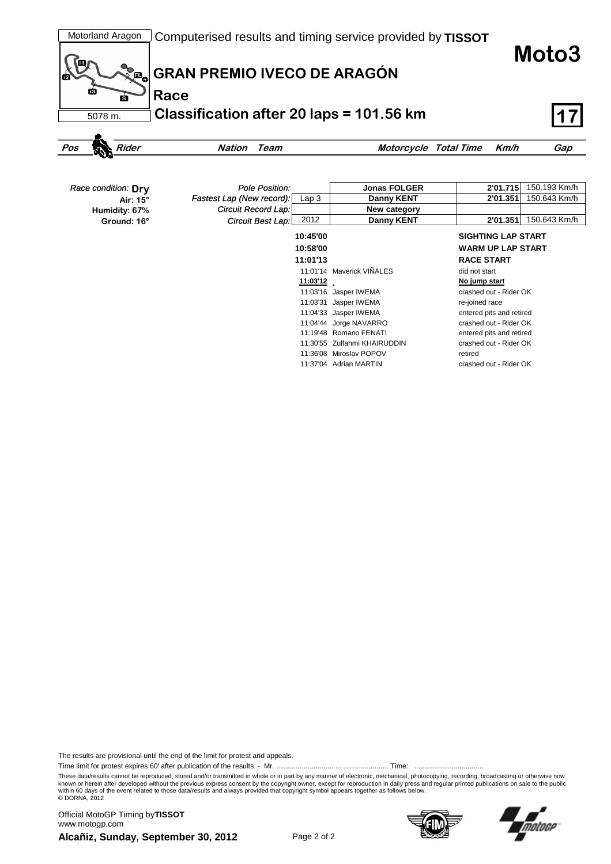

| Race condition: Dry | Pole Position:            |                  | <b>Jonas FOLGER</b>          | 2'01.715                  | 150.193 Km/h |
|---------------------|---------------------------|------------------|------------------------------|---------------------------|--------------|
| Air: 15°            | Fastest Lap (New record): | Lap <sub>3</sub> | Danny KENT                   | 2'01.351                  | 150.643 Km/h |
| Humidity: 67%       | Circuit Record Lap:       |                  | New category                 |                           |              |
| Ground: 16°         | <b>Circuit Best Lap:</b>  | 2012             | Danny KENT                   | 2'01.351                  | 150.643 Km/h |
|                     |                           | 10:45'00         |                              | <b>SIGHTING LAP START</b> |              |
|                     |                           | 10:58'00         |                              | <b>WARM UP LAP START</b>  |              |
|                     |                           | 11:01'13         |                              | <b>RACE START</b>         |              |
|                     |                           |                  | 11:01'14 Maverick VIÑALES    | did not start             |              |
|                     |                           | 11:03'12         |                              | No jump start             |              |
|                     |                           |                  | 11:03'16 Jasper IWEMA        | crashed out - Rider OK    |              |
|                     |                           |                  | 11:03'31 Jasper IWEMA        | re-joined race            |              |
|                     |                           |                  | 11:04'33 Jasper IWEMA        | entered pits and retired  |              |
|                     |                           |                  | 11:04'44 Jorge NAVARRO       | crashed out - Rider OK    |              |
|                     |                           |                  | 11:19'48 Romano FENATI       | entered pits and retired  |              |
|                     |                           |                  | 11:30'55 Zulfahmi KHAIRUDDIN | crashed out - Rider OK    |              |
|                     |                           |                  | 11:36'08 Miroslay POPOV      | retired                   |              |
|                     |                           |                  | 11:37'04 Adrian MARTIN       | crashed out - Rider OK    |              |

The results are provisional until the end of the limit for protest and appeals.

Time limit for protest expires 60' after publication of the results - Mr. ......................................................... Time: ...................................

These data/results cannot be reproduced, stored and/or transmitted in whole or in part by any manner of electronic, mechanical, photocopying, recording, broadcasting or otherwise now<br>known or herein after developed without within 60 days of the event related to those data/results and always provided that copyright symbol appears together as follows below. © DORNA, 2012

**Alcañiz, Sunday, September 30, 2012** Page 2 of 2 Official MotoGP Timing by **TISSOT**www.motogp.com

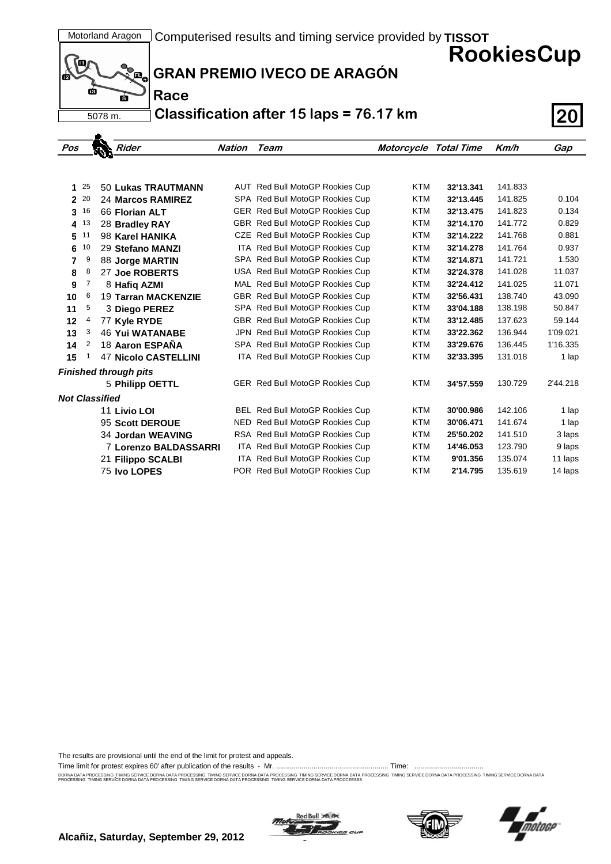**RookiesCup**



**Race**

## **GRAN PREMIO IVECO DE ARAGÓN**

**Classification after 15 laps = 76.17 km 20**

| Pos                   |      | <b>Rider</b>                 | Nation | Team                                   | Motorcycle Total Time |           | Km/h    | Gap      |
|-----------------------|------|------------------------------|--------|----------------------------------------|-----------------------|-----------|---------|----------|
|                       |      |                              |        |                                        |                       |           |         |          |
|                       |      |                              |        |                                        |                       |           |         |          |
| 1                     | 25   | 50 Lukas TRAUTMANN           |        | AUT Red Bull MotoGP Rookies Cup        | <b>KTM</b>            | 32'13.341 | 141.833 |          |
|                       | 2 20 | 24 Marcos RAMIREZ            |        | SPA Red Bull MotoGP Rookies Cup        | <b>KTM</b>            | 32'13.445 | 141.825 | 0.104    |
| 3                     | 16   | 66 Florian ALT               |        | GER Red Bull MotoGP Rookies Cup        | <b>KTM</b>            | 32'13.475 | 141.823 | 0.134    |
|                       | 4 13 | 28 Bradley RAY               |        | GBR Red Bull MotoGP Rookies Cup        | <b>KTM</b>            | 32'14.170 | 141.772 | 0.829    |
| 5                     | 11   | 98 Karel HANIKA              |        | CZE Red Bull MotoGP Rookies Cup        | <b>KTM</b>            | 32'14.222 | 141.768 | 0.881    |
| 6                     | 10   | 29 Stefano MANZI             |        | ITA Red Bull MotoGP Rookies Cup        | <b>KTM</b>            | 32'14.278 | 141.764 | 0.937    |
| 7                     | 9    | 88 Jorge MARTIN              |        | SPA Red Bull MotoGP Rookies Cup        | <b>KTM</b>            | 32'14.871 | 141.721 | 1.530    |
| 8                     | 8    | 27 Joe ROBERTS               |        | USA Red Bull MotoGP Rookies Cup        | <b>KTM</b>            | 32'24.378 | 141.028 | 11.037   |
| 9                     | 7    | 8 Hafiq AZMI                 |        | MAL Red Bull MotoGP Rookies Cup        | <b>KTM</b>            | 32'24.412 | 141.025 | 11.071   |
| 10                    | 6    | <b>19 Tarran MACKENZIE</b>   |        | GBR Red Bull MotoGP Rookies Cup        | <b>KTM</b>            | 32'56.431 | 138.740 | 43.090   |
| 11                    | 5    | 3 Diego PEREZ                |        | SPA Red Bull MotoGP Rookies Cup        | <b>KTM</b>            | 33'04.188 | 138.198 | 50.847   |
| 12                    | 4    | 77 Kyle RYDE                 |        | GBR Red Bull MotoGP Rookies Cup        | <b>KTM</b>            | 33'12.485 | 137.623 | 59.144   |
| 13                    | 3    | <b>46 Yui WATANABE</b>       |        | JPN Red Bull MotoGP Rookies Cup        | <b>KTM</b>            | 33'22.362 | 136.944 | 1'09.021 |
| 14                    | 2    | 18 Aaron ESPAÑA              |        | SPA Red Bull MotoGP Rookies Cup        | <b>KTM</b>            | 33'29.676 | 136.445 | 1'16.335 |
| 15                    |      | <b>47 Nicolo CASTELLINI</b>  |        | ITA Red Bull MotoGP Rookies Cup        | <b>KTM</b>            | 32'33.395 | 131.018 | 1 lap    |
|                       |      | <b>Finished through pits</b> |        |                                        |                       |           |         |          |
|                       |      | 5 Philipp OETTL              |        | GER Red Bull MotoGP Rookies Cup        | <b>KTM</b>            | 34'57.559 | 130.729 | 2'44.218 |
| <b>Not Classified</b> |      |                              |        |                                        |                       |           |         |          |
|                       |      | 11 Livio LOI                 |        | <b>BEL Red Bull MotoGP Rookies Cup</b> | <b>KTM</b>            | 30'00.986 | 142.106 | 1 lap    |
|                       |      | 95 Scott DEROUE              |        | NED Red Bull MotoGP Rookies Cup        | <b>KTM</b>            | 30'06.471 | 141.674 | 1 lap    |
|                       |      | 34 Jordan WEAVING            |        | RSA Red Bull MotoGP Rookies Cup        | <b>KTM</b>            | 25'50.202 | 141.510 | 3 laps   |
|                       |      | 7 Lorenzo BALDASSARRI        |        | ITA Red Bull MotoGP Rookies Cup        | <b>KTM</b>            | 14'46.053 | 123.790 | 9 laps   |
|                       |      | 21 Filippo SCALBI            |        | ITA Red Bull MotoGP Rookies Cup        | <b>KTM</b>            | 9'01.356  | 135.074 | 11 laps  |
|                       |      | 75 Ivo LOPES                 |        | POR Red Bull MotoGP Rookies Cup        | <b>KTM</b>            | 2'14.795  | 135.619 | 14 laps  |

The results are provisional until the end of the limit for protest and appeals.

Time limit for protest expires 60' after publication of the results - Mr. ......................................................... Time: ...................................

DORNA DATA PROCESING. TIMING SERVICE DORNA DATA PROCESSING TIMING SERVICE DORNA DRIG SERVICE DORNA DATA PROCESSING TIMING SERVICE DORNA DATA PROCESSING TIMING SERVICE DORNA DATA PROCESSING TIMING SERVICE DORNA DATA PROCESS





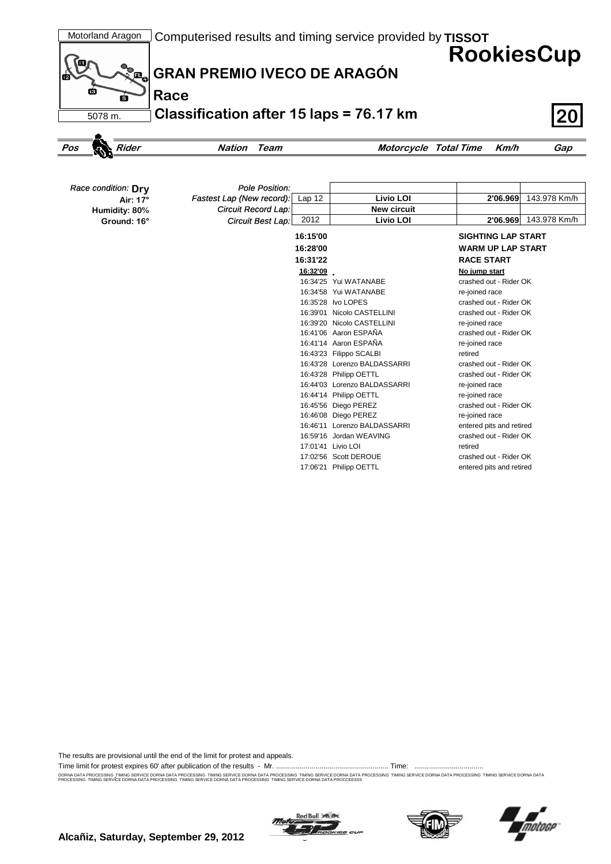

*Circuit Record Lap: Circuit Best Lap:*

*Fastest Lap (New record):* Lap 12 **Livio LOI 2'06.969** 143.978 Km/h

**New circuit**

**16:31'22 RACE START 16:32'09 No jump start** 16:34'25 Yui WATANABE crashed out - Rider OK 16:34'58 Yui WATANABE re-joined race 16:35'28 Ivo LOPES crashed out - Rider OK 16:39'01 Nicolo CASTELLINI crashed out - Rider OK 16:39'20 Nicolo CASTELLINI re-joined race 16:41'06 Aaron ESPAÑA crashed out - Rider OK 16:41'14 Aaron ESPAÑA re-joined race 16:43'23 Filippo SCALBI retired

2012 **Livio LOI 2'06.969** 143.978 Km/h

**16:15'00 SIGHTING LAP START 16:28'00 WARM UP LAP START**

16:43'28 Lorenzo BALDASSARRI crashed out - Rider OK 16:43'28 Philipp OETTL crashed out - Rider OK 16:44'03 Lorenzo BALDASSARRI re-joined race 16:44'14 Philipp OETTL re-joined race 16:45'56 Diego PEREZ crashed out - Rider OK 16:46'08 Diego PEREZ re-joined race 16:46'11 Lorenzo BALDASSARRI entered pits and retired 16:59'16 Jordan WEAVING crashed out - Rider OK

17:02'56 Scott DEROUE crashed out - Rider OK 17:06'21 Philipp OETTL entered pits and retired

17:01'41 Livio LOI retired

| The results are provisional until the end of the limit for protest and appeals. |  |  |  |  |  |  |  |
|---------------------------------------------------------------------------------|--|--|--|--|--|--|--|
|---------------------------------------------------------------------------------|--|--|--|--|--|--|--|

Time limit for protest expires 60' after publication of the results - Mr. ......................................................... Time: ...................................

**Air: 17°**

**Ground: 16° Humidity: 80%**

DORNA DATA PROCESING. TIMING SERVICE DORNA DATA PROCESSING TIMING SERVICE DORNA DRIG SERVICE DORNA DATA PROCESSING TIMING SERVICE DORNA DATA PROCESSING TIMING SERVICE DORNA DATA PROCESSING TIMING SERVICE DORNA DATA PROCESS